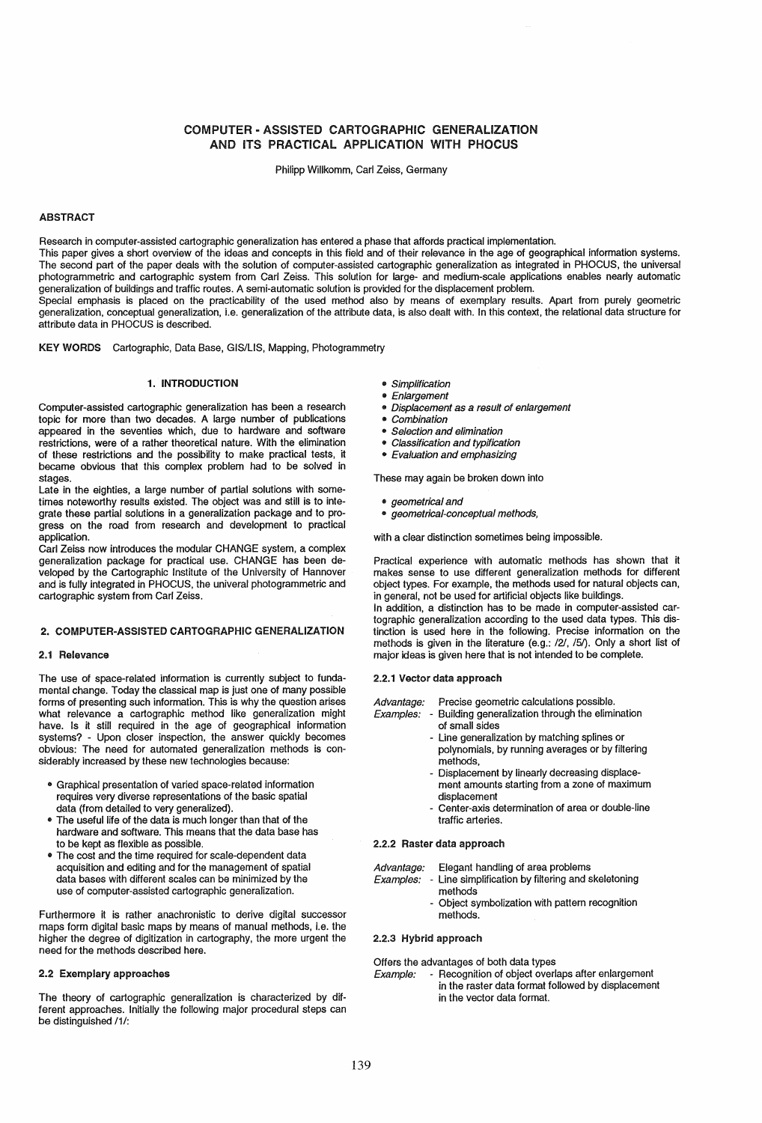# COMPUTER - ASSISTED CARTOGRAPHIC GENERALIZATION AND ITS PRACTICAL APPLICATION WITH PHOCUS

Philipp Willkomm, Carl Zeiss, Germany

## ABSTRACT

Research in computer-assisted cartographic generalization has entered a phase that affords practical implementation. This paper gives a short overview of the ideas and concepts in this field and of their relevance in the age of geographical information systems. The second part of the paper deals with the solution of computer-assisted cartographic generalization as integrated in PHOCUS, the universal photogrammetric and cartographic system from Carl Zeiss. This solution for large- and medium-scale applications enables nearly automatic generalization of buildings and traffic routes. A semi-automatic solution is provided for the displacement problem. Special emphasis is placed on the practicability of the used method also by means of exemplary results. Apart from purely geometric

generalization. conceptual generalization, i.e. generalization of the attribute data, is also dealt with. In this context, the relational data structure for attribute data in PHOCUS is described.

KEY WORDS Cartographic, Data Base, GIS/LIS, Mapping, Photogrammetry

# 1. INTRODUCTION

Computer-assisted cartographic generalization has been a research topic for more than two decades. A large number of publications appeared in the seventies which, due to hardware and software restrictions, were of a rather theoretical nature. With the elimination of these restrictions and the possibility to make practical tests, it became obvious that this complex problem had to be solved in stages.

Late in the eighties, a large number of partial solutions with sometimes noteworthy results existed. The object was and still is to integrate these partial solutions in a generalization package and to progress on the road from research and development to practical application.

Carl Zeiss now introduces the modular CHANGE system, a complex generalization package for practical use. CHANGE has been developed by the Cartographic Institute of the University of Hannover and is fully integrated in PHOCUS. the univeral photogrammetric and cartographic system from Carl Zeiss.

#### 2. COMPUTER-ASSISTED CARTOGRAPHIC GENERALIZATION

#### 2.1 Relevance

The use of space-related information is currently subject to fundamental change. Today the classical map is just one of many possible forms of presenting such information. This is why the question arises what relevance a cartographic method like generalization might have. Is it still required in the age of geographical information systems? - Upon closer inspection, the answer quickly becomes obvious: The need for automated generalization methods is considerably increased by these new technologies because:

- ., Graphical presentation of varied space-related information requires very diverse representations of the basic spatial data (from detailed to very generalized).
- The useful life of the data is much longer than that of the hardware and software. This means that the data base has to be kept as flexible as possible.
- The cost and the time required for scale-dependent data acquisition and editing and for the management of spatial data bases with different scales can be minimized by the use of computer-assisted cartographic generalization.

Furthermore it is rather anachronistic to derive digital successor maps form digital basic maps by means of manual methods, i.e. the higher the degree of digitization in cartography, the more urgent the need for the methods described here.

### 2.2 Exemplary approaches

The theory of cartographic generalization is characterized by different approaches. Initially the following major procedural steps can be distinguished /1/:

- Simplification
- Enlargement
- Displacement as a result of enlargement
- 
- Combination Selection and elimination
- .. Classification and typification
- Evaluation and emphasizing

These may again be broken down into

- *geometrical and*
- geometrical-conceptual methods,

with a clear distinction sometimes being impossible.

Practical experience with automatic methods has shown that it makes sense to use different generalization methods for different object types. For example, the methods used for natural objects can, in general, not be used for artificial objects like buildings.

In addition, a distinction has to be made in computer-assisted cartographic generalization according to the used data types. This distinction is used here in the following. Precise information on the methods is given in the literature (e.g.: /21, /5/). Only a short list of major ideas is given here that is not intended to be complete.

#### 2.2.1 Vector data approach

- Advantage: Precise geometric calculations possible.
- Examples: Building generalization through the elimination of small sides
	- Line generalization by matching splines or polynomials, by running averages or by filtering methods,
	- Displacement by linearly decreasing displacement amounts starting from a zone of maximum displacement
	- Center-axis determination of area or double-line traffic arteries.

#### 2.2.2 Raster data approach

Advantage: Elegant handling of area problems

- Examples: Line simplification by filtering and skeletoning methods
	- Object symbolization with pattern recognition methods.

#### 2.2.3 Hybrid approach

Offers the advantages of both data types

Example: - Recognition of object overlaps after enlargement in the raster data format followed by displacement in the vector data format.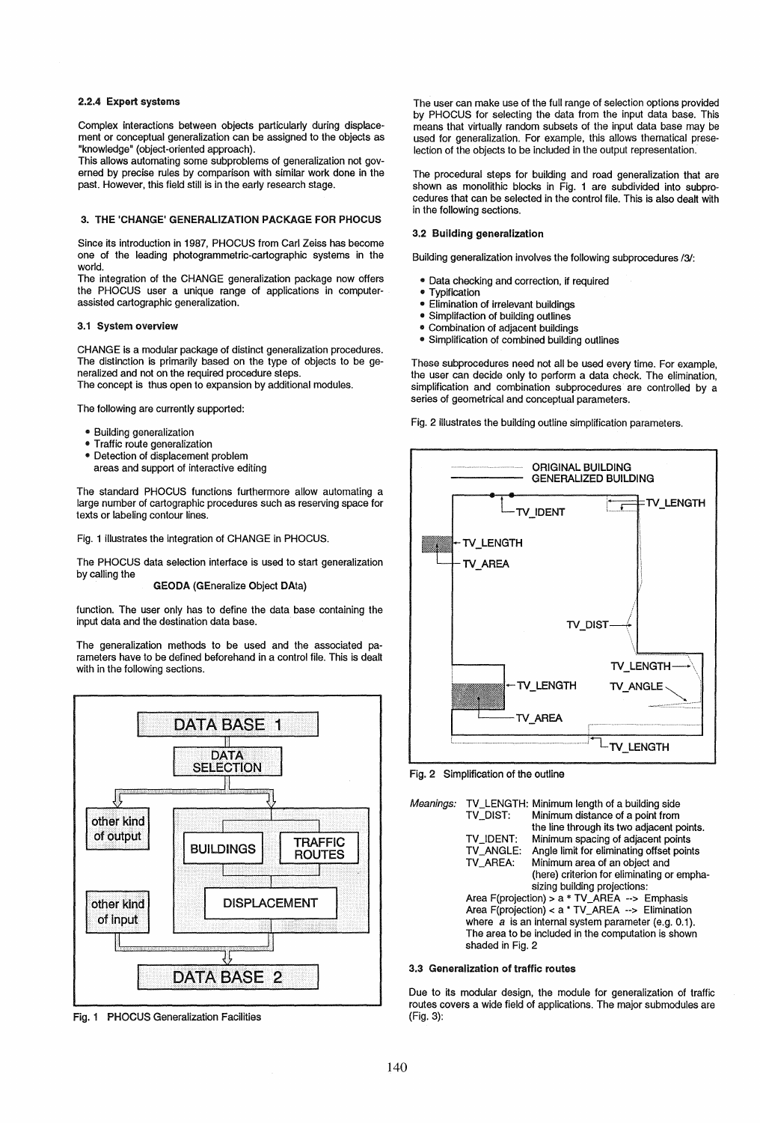### 2.2.4 Expert systems

Complex interactions between objects particularly during displacement or conceptual generalization can be assigned to the objects as "knowledge" (object-oriented approach).

This allows automating some subproblems of generalization not governed by precise rules by comparison with similar work done in the past. However, this field still is in the early research stage.

#### 3. THE 'CHANGE' GENERALIZATION PACKAGE FOR PHOCUS

Since its introduction in 1987, PHOCUS from Carl Zeiss has become one of the leading photogrammetric-cartographic systems in the world.

The integration of the CHANGE generalization package now offers the PHOCUS user a unique range of applications in computerassisted cartographic generalization.

#### 3.1 System overview

CHANGE is a modular package of distinct generalization procedures. The distinction is primarily based on the type of objects to be generalized and not on the required procedure steps. The concept is thus open to expansion by additional modules.

The following are currently supported:

- Building generalization
- Traffic route generalization
- Detection of displacement problem
- areas and support of interactive editing

The standard PHOCUS functions furthermore allow automating a large number of cartographic procedures such as reserving space for texts or labeling contour lines.

Fig. 1 illustrates the integration of CHANGE in PHOCUS.

The PHOCUS data selection interface is used to start generalization by calling the

#### GEODA (GEneralize Object DAta)

function. The user only has to define the data base· containing the input data and the destination data base.

The generalization methods to be used and the associated parameters have to be defined beforehand in a control file. This is dealt with in the following sections.



Fig. 1 PHOCUS Generalization Facilities

The user can make use of the full range of selection options provided by PHOCUS for selecting the data from the input data base. This means that virtually random subsets of the input data base may be used for generalization. For example, this allows thematical preselection of the objects to be included in the output representation.

The procedural steps for building and road generalization that are shown as monolithic blocks in Fig. 1 are subdivided into subprocedures that can be selected in the control file. This is also dealt with in the following sections.

#### 3.2 Building generalization

Building generalization involves the following subprocedures /3/:

- Data checking and correction, if required
- **Typification**
- Elimination of irrelevant buildings
- Simplifaction of building outlines
- Combination of adjacent buildings
- Simplification of combined building outlines

These subprocedures need not all be used every time. For example, the user can decide only to perform a data check. The elimination, simplification and combination subprocedures are controlled by a series of geometrical and conceptual parameters.

Fig. 2 illustrates the building outline simplification parameters.



Fig. 2 Simplification of the outline

| Meanings: | TV DIST:                                                                                                                                                                                                                                                                    | TV_LENGTH: Minimum length of a building side<br>Minimum distance of a point from<br>the line through its two adjacent points. |
|-----------|-----------------------------------------------------------------------------------------------------------------------------------------------------------------------------------------------------------------------------------------------------------------------------|-------------------------------------------------------------------------------------------------------------------------------|
|           | TV IDENT:<br>TV_ANGLE:                                                                                                                                                                                                                                                      | Minimum spacing of adjacent points<br>Angle limit for eliminating offset points                                               |
|           | TV AREA:                                                                                                                                                                                                                                                                    | Minimum area of an object and<br>(here) criterion for eliminating or empha-                                                   |
|           | sizing building projections:<br>Area $F$ (projection) > a * TV_AREA --> Emphasis<br>Area F(projection) < $a * TV_A REA$ --> Elimination<br>where $a$ is an internal system parameter (e.g. 0.1).<br>The area to be included in the computation is shown<br>shaded in Fig. 2 |                                                                                                                               |

### 3.3 Generalization of traffic routes

Due to its modular design, the module for generalization of traffic routes covers a wide field of applications. The major submodules are (Fig. 3):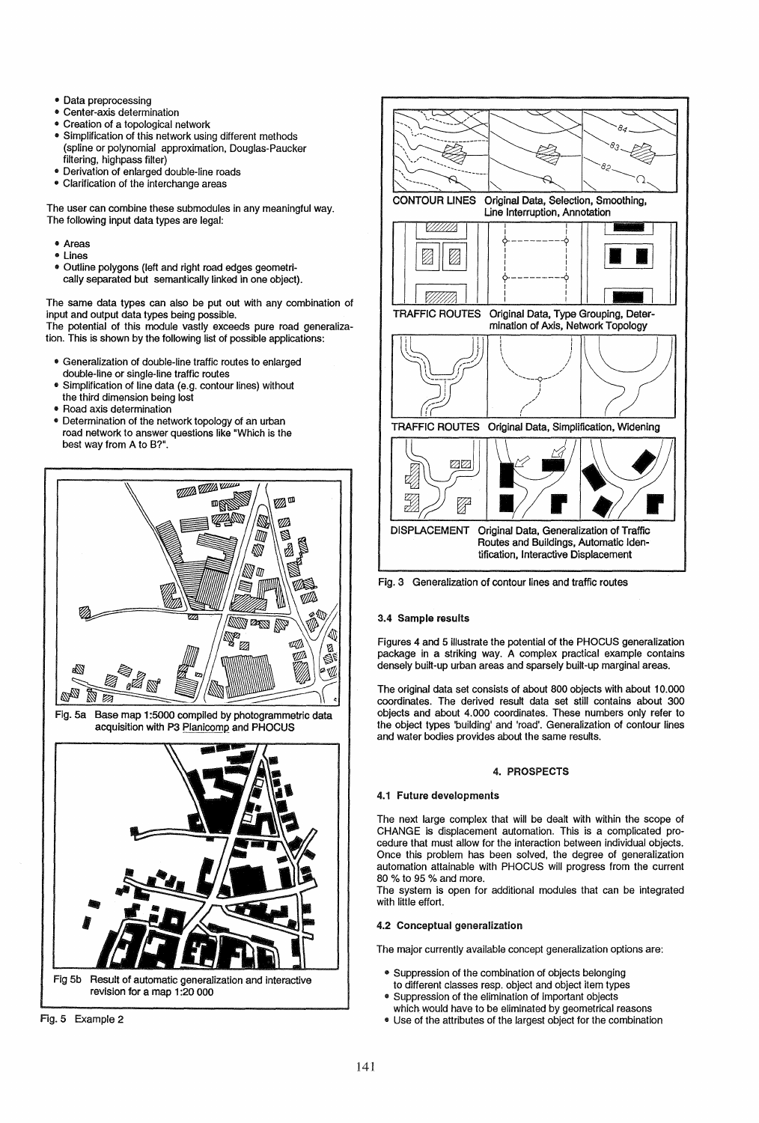- Data preprocessing
- Center-axis determination
- Creation of a topological network
- Simplification of this network using different methods (spline or polynomial approximation, Douglas-Paucker filtering, highpass filter)
- Derivation of enlarged double-line roads
- Clarification of the interchange areas

The user can combine these submodules in any meaningful way. The following input data types are legal:

- " Areas
- Lines<br>• Outline
- Outline polygons (left and right road edges geometrically separated but semantically linked in one object).

The same data types can also be put out with any combination of input and output data types being possible. The potential of this module vastly exceeds pure road generaliza-

tion. This is shown by the following list of possible applications:

- " Generalization of double-line traffic routes to enlarged double-line or single-line traffic routes
- Simplification of line data (e.g. contour lines) without
- the third dimension being lost
- Road axis determination
- " Determination of the network topology of an urban road network to answer questions like "Which is the best way from A to B?".



Fig. 5a Base map 1 :5000 compiled by photogrammetric data acquisition with P3 Planicomp and PHOCUS







Fig. 3 Generalization of contour lines and traffic routes

## 3.4 Sample results

Figures 4 and 5 illustrate the potential of the PHOCUS generalization package in a striking way. A complex practical example contains densely built-up urban areas and sparsely built-up marginal areas.

The original data set consists of about 800 objects with about 10.000 coordinates. The derived result data set still contains about 300 objects and about 4.000 coordinates. These numbers only refer to the object types 'building' and 'road'. Generalization of contour lines and water bodies provides about the same results.

## 4. PROSPECTS

## 4.1 Future developments

The next large complex that will be dealt with within the scope of CHANGE is displacement automation. This is a complicated procedure that must allow for the interaction between individual objects. Once this problem has been solved, the degree of generalization automation attainable with PHOCUS will progress from the current 80 % to 95 % and more.

The system is open for additional modules that can be integrated with little effort.

# 4.2 Conceptual generalization

The major currently available concept generalization options are:

- Suppression of the combination of objects belonging
- to different classes resp. object and object item types • Suppression of the elimination of important objects
- which would have to be eliminated by geometrical reasons
- Use of the attributes of the largest object for the combination